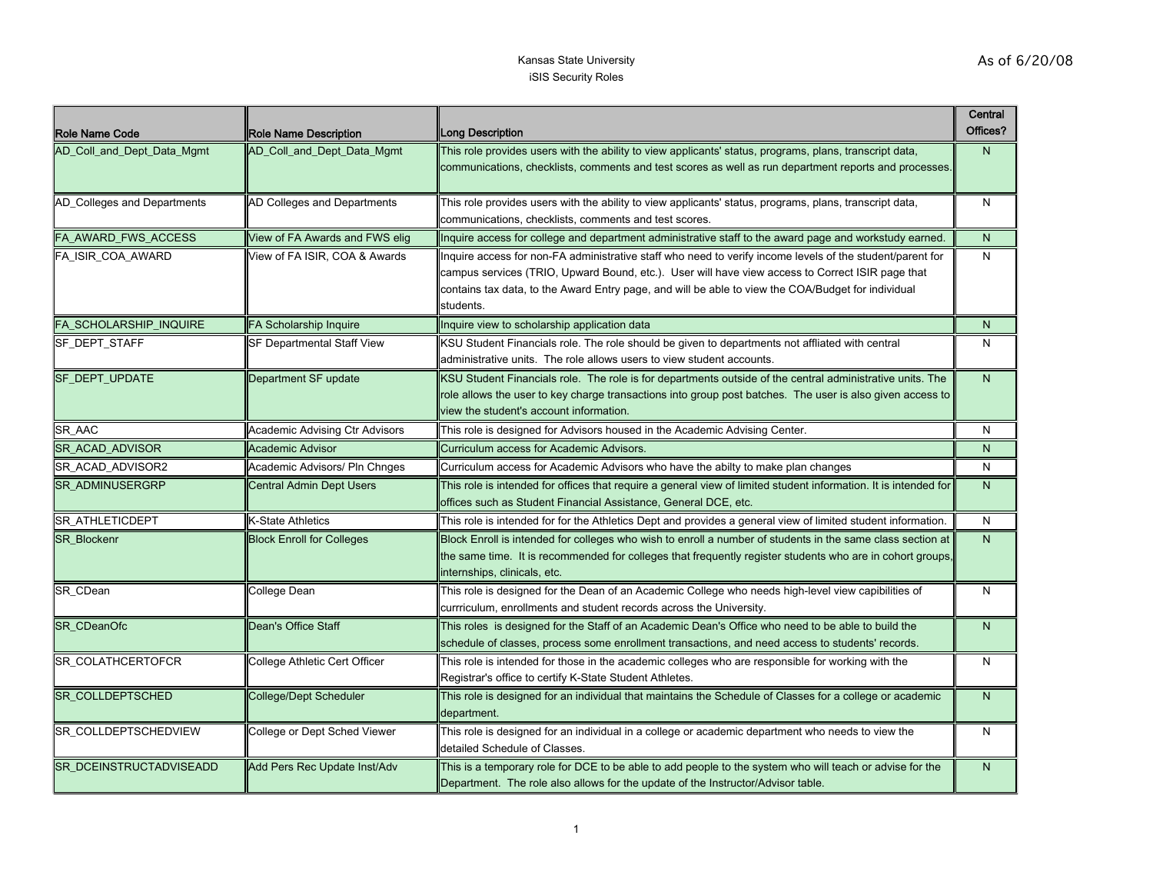| <b>Role Name Code</b>         | Role Name Description                 | Long Description                                                                                                                                                                                                                                                                                                                 | Central<br>Offices? |
|-------------------------------|---------------------------------------|----------------------------------------------------------------------------------------------------------------------------------------------------------------------------------------------------------------------------------------------------------------------------------------------------------------------------------|---------------------|
| AD Coll and Dept Data Mgmt    | AD_Coll_and_Dept_Data_Mgmt            | This role provides users with the ability to view applicants' status, programs, plans, transcript data,<br>communications, checklists, comments and test scores as well as run department reports and processes.                                                                                                                 | N                   |
| AD_Colleges and Departments   | AD Colleges and Departments           | This role provides users with the ability to view applicants' status, programs, plans, transcript data,<br>communications, checklists, comments and test scores.                                                                                                                                                                 | N                   |
| FA_AWARD_FWS_ACCESS           | View of FA Awards and FWS elig        | Inquire access for college and department administrative staff to the award page and workstudy earned.                                                                                                                                                                                                                           | $\mathsf{N}$        |
| FA ISIR COA AWARD             | View of FA ISIR, COA & Awards         | Inquire access for non-FA administrative staff who need to verify income levels of the student/parent for<br>campus services (TRIO, Upward Bound, etc.). User will have view access to Correct ISIR page that<br>contains tax data, to the Award Entry page, and will be able to view the COA/Budget for individual<br>students. | N                   |
| <b>FA SCHOLARSHIP INQUIRE</b> | FA Scholarship Inquire                | Inquire view to scholarship application data                                                                                                                                                                                                                                                                                     | N                   |
| <b>SF DEPT STAFF</b>          | SF Departmental Staff View            | KSU Student Financials role. The role should be given to departments not affliated with central<br>administrative units. The role allows users to view student accounts.                                                                                                                                                         | N                   |
| SF_DEPT_UPDATE                | Department SF update                  | KSU Student Financials role. The role is for departments outside of the central administrative units. The<br>role allows the user to key charge transactions into group post batches. The user is also given access to<br>view the student's account information.                                                                | $\mathsf{N}$        |
| SR_AAC                        | <b>Academic Advising Ctr Advisors</b> | This role is designed for Advisors housed in the Academic Advising Center.                                                                                                                                                                                                                                                       | N                   |
| SR_ACAD_ADVISOR               | Academic Advisor                      | Curriculum access for Academic Advisors.                                                                                                                                                                                                                                                                                         | N                   |
| SR_ACAD_ADVISOR2              | Academic Advisors/ Pln Chnges         | Curriculum access for Academic Advisors who have the abilty to make plan changes                                                                                                                                                                                                                                                 | N                   |
| <b>SR ADMINUSERGRP</b>        | <b>Central Admin Dept Users</b>       | This role is intended for offices that require a general view of limited student information. It is intended for<br>offices such as Student Financial Assistance, General DCE, etc.                                                                                                                                              | $\mathsf{N}$        |
| SR_ATHLETICDEPT               | <b>K-State Athletics</b>              | This role is intended for for the Athletics Dept and provides a general view of limited student information.                                                                                                                                                                                                                     | N                   |
| <b>SR Blockenr</b>            | <b>Block Enroll for Colleges</b>      | Block Enroll is intended for colleges who wish to enroll a number of students in the same class section at<br>the same time. It is recommended for colleges that frequently register students who are in cohort groups,<br>internships, clinicals, etc.                                                                          | $\mathsf{N}$        |
| SR_CDean                      | College Dean                          | This role is designed for the Dean of an Academic College who needs high-level view capibilities of<br>currriculum, enrollments and student records across the University.                                                                                                                                                       | N                   |
| SR_CDeanOfc                   | Dean's Office Staff                   | This roles is designed for the Staff of an Academic Dean's Office who need to be able to build the<br>schedule of classes, process some enrollment transactions, and need access to students' records.                                                                                                                           | N                   |
| SR_COLATHCERTOFCR             | College Athletic Cert Officer         | This role is intended for those in the academic colleges who are responsible for working with the<br>Registrar's office to certify K-State Student Athletes.                                                                                                                                                                     | N                   |
| SR_COLLDEPTSCHED              | <b>College/Dept Scheduler</b>         | This role is designed for an individual that maintains the Schedule of Classes for a college or academic<br>department.                                                                                                                                                                                                          | N                   |
| SR_COLLDEPTSCHEDVIEW          | College or Dept Sched Viewer          | This role is designed for an individual in a college or academic department who needs to view the<br>detailed Schedule of Classes.                                                                                                                                                                                               | N                   |
| SR_DCEINSTRUCTADVISEADD       | Add Pers Rec Update Inst/Adv          | This is a temporary role for DCE to be able to add people to the system who will teach or advise for the<br>Department. The role also allows for the update of the Instructor/Advisor table.                                                                                                                                     | $\mathsf{N}$        |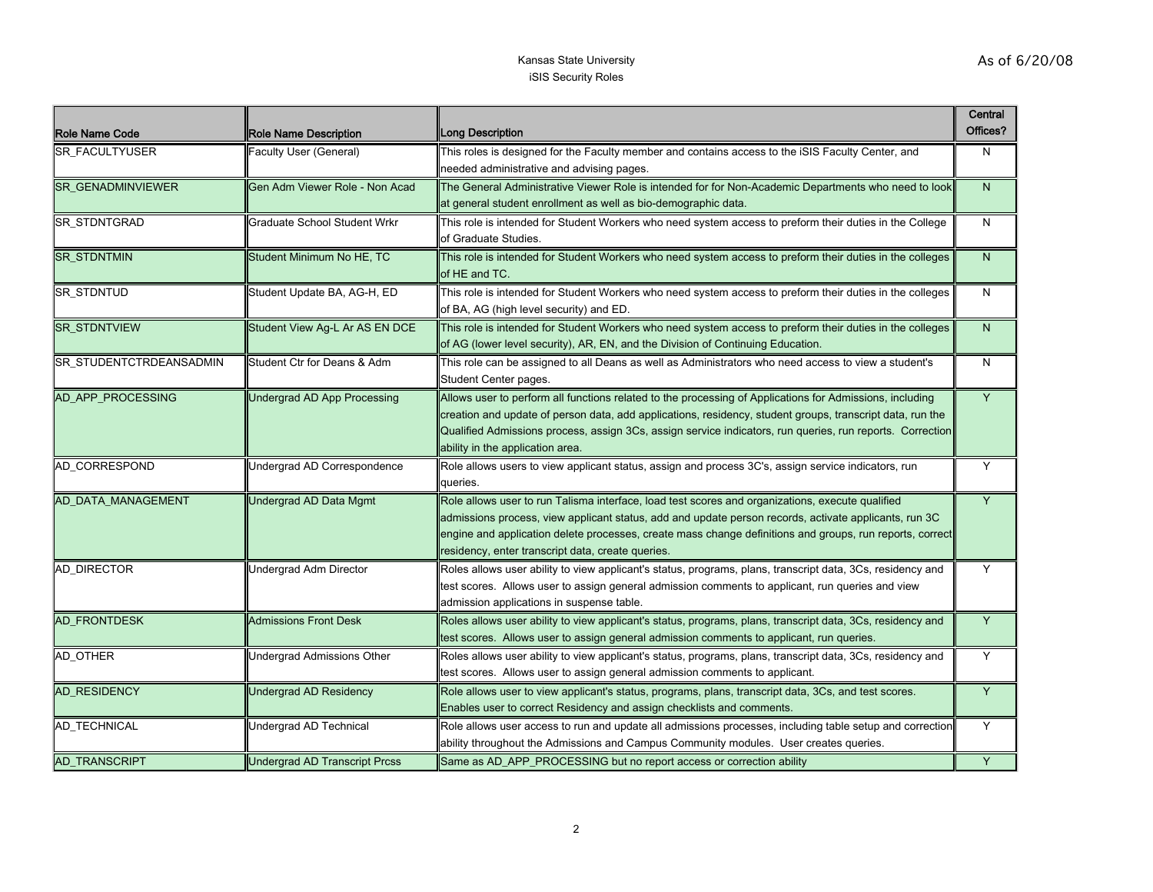| <b>Role Name Code</b>    | <b>Role Name Description</b>         | <b>Long Description</b>                                                                                                                                                                                                                                                                                                                                                    | Central<br>Offices? |
|--------------------------|--------------------------------------|----------------------------------------------------------------------------------------------------------------------------------------------------------------------------------------------------------------------------------------------------------------------------------------------------------------------------------------------------------------------------|---------------------|
| <b>SR FACULTYUSER</b>    | Faculty User (General)               | This roles is designed for the Faculty member and contains access to the iSIS Faculty Center, and<br>needed administrative and advising pages.                                                                                                                                                                                                                             | N                   |
| <b>SR GENADMINVIEWER</b> | Gen Adm Viewer Role - Non Acad       | The General Administrative Viewer Role is intended for for Non-Academic Departments who need to look<br>at general student enrollment as well as bio-demographic data.                                                                                                                                                                                                     | $\mathsf{N}$        |
| <b>SR STDNTGRAD</b>      | <b>Graduate School Student Wrkr</b>  | This role is intended for Student Workers who need system access to preform their duties in the College<br>of Graduate Studies.                                                                                                                                                                                                                                            | N                   |
| <b>SR_STDNTMIN</b>       | Student Minimum No HE, TC            | This role is intended for Student Workers who need system access to preform their duties in the colleges<br>of HE and TC.                                                                                                                                                                                                                                                  | $\mathsf{N}$        |
| <b>SR_STDNTUD</b>        | Student Update BA, AG-H, ED          | This role is intended for Student Workers who need system access to preform their duties in the colleges<br>of BA, AG (high level security) and ED.                                                                                                                                                                                                                        | N                   |
| <b>SR_STDNTVIEW</b>      | Student View Ag-L Ar AS EN DCE       | This role is intended for Student Workers who need system access to preform their duties in the colleges<br>of AG (lower level security), AR, EN, and the Division of Continuing Education.                                                                                                                                                                                | $\mathsf{N}$        |
| SR_STUDENTCTRDEANSADMIN  | Student Ctr for Deans & Adm          | This role can be assigned to all Deans as well as Administrators who need access to view a student's<br>Student Center pages.                                                                                                                                                                                                                                              | N                   |
| AD APP PROCESSING        | <b>Undergrad AD App Processing</b>   | Allows user to perform all functions related to the processing of Applications for Admissions, including<br>creation and update of person data, add applications, residency, student groups, transcript data, run the<br>Qualified Admissions process, assign 3Cs, assign service indicators, run queries, run reports. Correction<br>ability in the application area.     | Y                   |
| <b>AD CORRESPOND</b>     | Undergrad AD Correspondence          | Role allows users to view applicant status, assign and process 3C's, assign service indicators, run<br>queries.                                                                                                                                                                                                                                                            | Y                   |
| AD DATA MANAGEMENT       | Undergrad AD Data Mgmt               | Role allows user to run Talisma interface, load test scores and organizations, execute qualified<br>admissions process, view applicant status, add and update person records, activate applicants, run 3C<br>engine and application delete processes, create mass change definitions and groups, run reports, correct<br>residency, enter transcript data, create queries. | Y                   |
| <b>AD DIRECTOR</b>       | Undergrad Adm Director               | Roles allows user ability to view applicant's status, programs, plans, transcript data, 3Cs, residency and<br>test scores. Allows user to assign general admission comments to applicant, run queries and view<br>admission applications in suspense table.                                                                                                                | Y                   |
| AD_FRONTDESK             | <b>Admissions Front Desk</b>         | Roles allows user ability to view applicant's status, programs, plans, transcript data, 3Cs, residency and<br>test scores. Allows user to assign general admission comments to applicant, run queries.                                                                                                                                                                     | Y                   |
| AD_OTHER                 | Undergrad Admissions Other           | Roles allows user ability to view applicant's status, programs, plans, transcript data, 3Cs, residency and<br>test scores. Allows user to assign general admission comments to applicant.                                                                                                                                                                                  | Y                   |
| <b>AD RESIDENCY</b>      | Undergrad AD Residency               | Role allows user to view applicant's status, programs, plans, transcript data, 3Cs, and test scores.<br>Enables user to correct Residency and assign checklists and comments.                                                                                                                                                                                              | Y                   |
| <b>AD TECHNICAL</b>      | Undergrad AD Technical               | Role allows user access to run and update all admissions processes, including table setup and correction<br>ability throughout the Admissions and Campus Community modules. User creates queries.                                                                                                                                                                          | Y                   |
| <b>AD TRANSCRIPT</b>     | <b>Undergrad AD Transcript Prcss</b> | Same as AD APP PROCESSING but no report access or correction ability                                                                                                                                                                                                                                                                                                       | Y                   |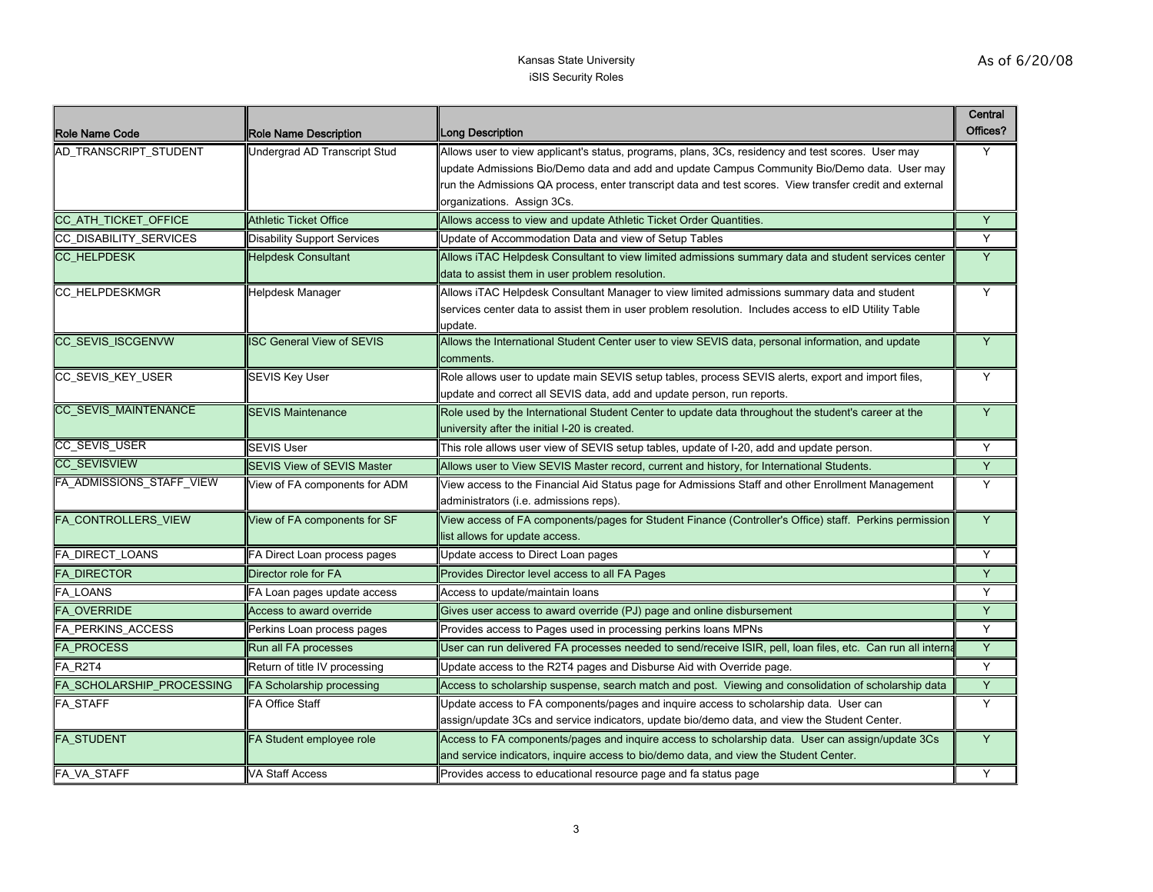| Role Name Code              | Role Name Description              | Long Description                                                                                                                                                                                               | Central<br>Offices? |
|-----------------------------|------------------------------------|----------------------------------------------------------------------------------------------------------------------------------------------------------------------------------------------------------------|---------------------|
| AD_TRANSCRIPT_STUDENT       | Undergrad AD Transcript Stud       | Allows user to view applicant's status, programs, plans, 3Cs, residency and test scores. User may<br>update Admissions Bio/Demo data and add and update Campus Community Bio/Demo data. User may               | Y                   |
|                             |                                    | run the Admissions QA process, enter transcript data and test scores. View transfer credit and external                                                                                                        |                     |
| CC_ATH_TICKET_OFFICE        | <b>Athletic Ticket Office</b>      | organizations. Assign 3Cs.<br>Allows access to view and update Athletic Ticket Order Quantities.                                                                                                               | Y                   |
| CC_DISABILITY_SERVICES      | <b>Disability Support Services</b> | Update of Accommodation Data and view of Setup Tables                                                                                                                                                          | Y                   |
|                             |                                    |                                                                                                                                                                                                                |                     |
| CC_HELPDESK                 | <b>Helpdesk Consultant</b>         | Allows iTAC Helpdesk Consultant to view limited admissions summary data and student services center<br>data to assist them in user problem resolution.                                                         | Y                   |
| CC_HELPDESKMGR              | Helpdesk Manager                   | Allows iTAC Helpdesk Consultant Manager to view limited admissions summary data and student<br>services center data to assist them in user problem resolution. Includes access to eID Utility Table<br>update. | Y                   |
| CC SEVIS ISCGENVW           | <b>SC General View of SEVIS</b>    | Allows the International Student Center user to view SEVIS data, personal information, and update<br>comments.                                                                                                 | Y                   |
| CC_SEVIS_KEY_USER           | <b>SEVIS Key User</b>              | Role allows user to update main SEVIS setup tables, process SEVIS alerts, export and import files,<br>update and correct all SEVIS data, add and update person, run reports.                                   | Y                   |
| <b>CC SEVIS MAINTENANCE</b> | <b>SEVIS Maintenance</b>           | Role used by the International Student Center to update data throughout the student's career at the<br>university after the initial I-20 is created.                                                           | $\overline{Y}$      |
| CC_SEVIS_USER               | <b>SEVIS User</b>                  | This role allows user view of SEVIS setup tables, update of I-20, add and update person.                                                                                                                       | Y                   |
| <b>CC_SEVISVIEW</b>         | <b>SEVIS View of SEVIS Master</b>  | Allows user to View SEVIS Master record, current and history, for International Students.                                                                                                                      | Y                   |
| FA_ADMISSIONS_STAFF_VIEW    | View of FA components for ADM      | View access to the Financial Aid Status page for Admissions Staff and other Enrollment Management<br>administrators (i.e. admissions reps).                                                                    | Y                   |
| FA_CONTROLLERS_VIEW         | View of FA components for SF       | View access of FA components/pages for Student Finance (Controller's Office) staff. Perkins permission<br>list allows for update access.                                                                       | Y                   |
| FA_DIRECT_LOANS             | FA Direct Loan process pages       | Update access to Direct Loan pages                                                                                                                                                                             | Y                   |
| <b>FA_DIRECTOR</b>          | Director role for FA               | Provides Director level access to all FA Pages                                                                                                                                                                 | Y                   |
| FA_LOANS                    | FA Loan pages update access        | Access to update/maintain loans                                                                                                                                                                                | Y                   |
| <b>FA_OVERRIDE</b>          | Access to award override           | Gives user access to award override (PJ) page and online disbursement                                                                                                                                          | Y                   |
| FA_PERKINS_ACCESS           | Perkins Loan process pages         | Provides access to Pages used in processing perkins loans MPNs                                                                                                                                                 | Y                   |
| FA_PROCESS                  | Run all FA processes               | User can run delivered FA processes needed to send/receive ISIR, pell, loan files, etc. Can run all intern                                                                                                     | Y                   |
| FA_R2T4                     | Return of title IV processing      | Update access to the R2T4 pages and Disburse Aid with Override page.                                                                                                                                           | Y                   |
| FA_SCHOLARSHIP_PROCESSING   | FA Scholarship processing          | Access to scholarship suspense, search match and post. Viewing and consolidation of scholarship data                                                                                                           | Y                   |
| FA_STAFF                    | <b>FA Office Staff</b>             | Update access to FA components/pages and inquire access to scholarship data. User can<br>assign/update 3Cs and service indicators, update bio/demo data, and view the Student Center.                          | Y                   |
| FA_STUDENT                  | FA Student employee role           | Access to FA components/pages and inquire access to scholarship data. User can assign/update 3Cs<br>and service indicators, inquire access to bio/demo data, and view the Student Center.                      | Y                   |
| FA_VA_STAFF                 | VA Staff Access                    | Provides access to educational resource page and fa status page                                                                                                                                                | Y                   |
|                             |                                    |                                                                                                                                                                                                                |                     |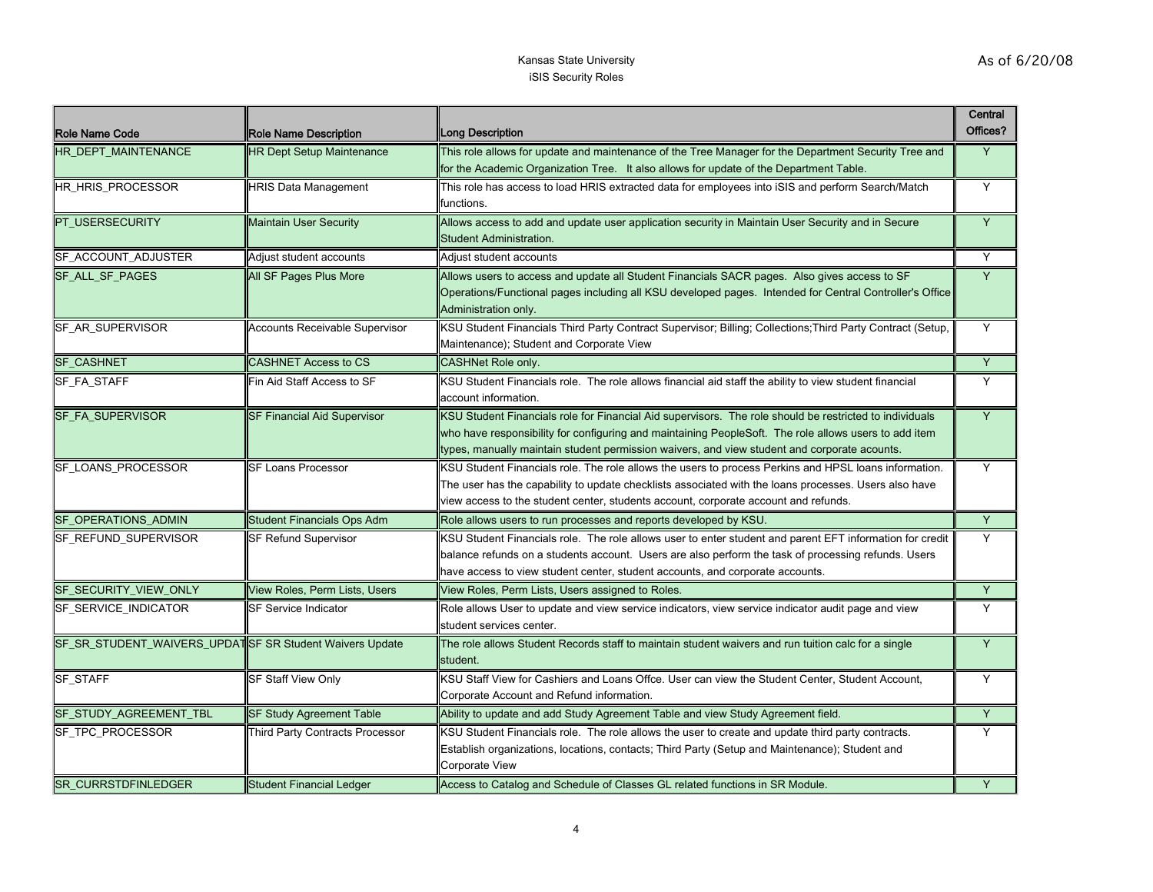| <b>Role Name Code</b>                                    | Role Name Description                 | Long Description                                                                                                                                                                                                                                                                                                 | Central<br>Offices? |
|----------------------------------------------------------|---------------------------------------|------------------------------------------------------------------------------------------------------------------------------------------------------------------------------------------------------------------------------------------------------------------------------------------------------------------|---------------------|
| <b>HR DEPT MAINTENANCE</b>                               | <b>HR Dept Setup Maintenance</b>      | This role allows for update and maintenance of the Tree Manager for the Department Security Tree and<br>for the Academic Organization Tree. It also allows for update of the Department Table.                                                                                                                   | Y                   |
| HR HRIS PROCESSOR                                        | <b>HRIS Data Management</b>           | This role has access to load HRIS extracted data for employees into iSIS and perform Search/Match<br>functions.                                                                                                                                                                                                  | Y                   |
| <b>PT USERSECURITY</b>                                   | <b>Maintain User Security</b>         | Allows access to add and update user application security in Maintain User Security and in Secure<br>Student Administration.                                                                                                                                                                                     | $\overline{Y}$      |
| SF_ACCOUNT_ADJUSTER                                      | Adjust student accounts               | Adjust student accounts                                                                                                                                                                                                                                                                                          | Y                   |
| <b>SF ALL SF PAGES</b>                                   | All SF Pages Plus More                | Allows users to access and update all Student Financials SACR pages. Also gives access to SF<br>Operations/Functional pages including all KSU developed pages. Intended for Central Controller's Office<br>Administration only.                                                                                  | Y                   |
| <b>SF AR SUPERVISOR</b>                                  | <b>Accounts Receivable Supervisor</b> | KSU Student Financials Third Party Contract Supervisor; Billing; Collections; Third Party Contract (Setup,<br>Maintenance); Student and Corporate View                                                                                                                                                           | Y                   |
| <b>SF CASHNET</b>                                        | <b>CASHNET Access to CS</b>           | <b>CASHNet Role only.</b>                                                                                                                                                                                                                                                                                        | Y                   |
| SF_FA_STAFF                                              | Fin Aid Staff Access to SF            | KSU Student Financials role. The role allows financial aid staff the ability to view student financial<br>account information.                                                                                                                                                                                   | Υ                   |
| SF_FA_SUPERVISOR                                         | <b>SF Financial Aid Supervisor</b>    | KSU Student Financials role for Financial Aid supervisors. The role should be restricted to individuals<br>who have responsibility for configuring and maintaining PeopleSoft. The role allows users to add item<br>types, manually maintain student permission waivers, and view student and corporate acounts. | Y                   |
| <b>SF LOANS PROCESSOR</b>                                | <b>SF Loans Processor</b>             | KSU Student Financials role. The role allows the users to process Perkins and HPSL loans information.<br>The user has the capability to update checklists associated with the loans processes. Users also have<br>view access to the student center, students account, corporate account and refunds.            | Y                   |
| SF_OPERATIONS_ADMIN                                      | <b>Student Financials Ops Adm</b>     | Role allows users to run processes and reports developed by KSU.                                                                                                                                                                                                                                                 | Y                   |
| <b>SF REFUND SUPERVISOR</b>                              | <b>SF Refund Supervisor</b>           | KSU Student Financials role. The role allows user to enter student and parent EFT information for credit<br>balance refunds on a students account. Users are also perform the task of processing refunds. Users<br>have access to view student center, student accounts, and corporate accounts.                 | Y                   |
| SF_SECURITY_VIEW_ONLY                                    | View Roles, Perm Lists, Users         | View Roles, Perm Lists, Users assigned to Roles.                                                                                                                                                                                                                                                                 | Y                   |
| SF_SERVICE_INDICATOR                                     | SF Service Indicator                  | Role allows User to update and view service indicators, view service indicator audit page and view<br>student services center.                                                                                                                                                                                   | Y                   |
| SF_SR_STUDENT_WAIVERS_UPDAT SF SR Student Waivers Update |                                       | The role allows Student Records staff to maintain student waivers and run tuition calc for a single<br>student.                                                                                                                                                                                                  | Y                   |
| SF_STAFF                                                 | SF Staff View Only                    | KSU Staff View for Cashiers and Loans Offce. User can view the Student Center, Student Account,<br>Corporate Account and Refund information.                                                                                                                                                                     | Y                   |
| SF_STUDY_AGREEMENT_TBL                                   | <b>SF Study Agreement Table</b>       | Ability to update and add Study Agreement Table and view Study Agreement field.                                                                                                                                                                                                                                  | Y                   |
| SF_TPC_PROCESSOR                                         | Third Party Contracts Processor       | KSU Student Financials role. The role allows the user to create and update third party contracts.<br>Establish organizations, locations, contacts; Third Party (Setup and Maintenance); Student and<br>Corporate View                                                                                            | Y                   |
| <b>ISR CURRSTDFINLEDGER</b>                              | <b>Student Financial Ledger</b>       | Access to Catalog and Schedule of Classes GL related functions in SR Module.                                                                                                                                                                                                                                     | Y                   |